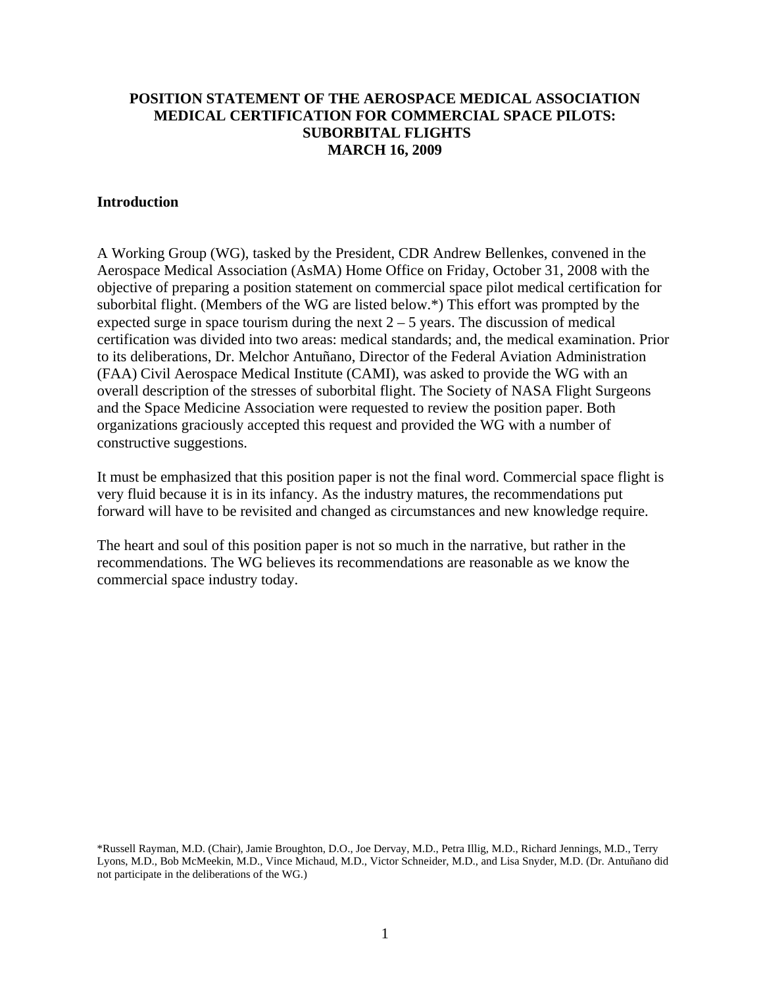# **POSITION STATEMENT OF THE AEROSPACE MEDICAL ASSOCIATION MEDICAL CERTIFICATION FOR COMMERCIAL SPACE PILOTS: SUBORBITAL FLIGHTS MARCH 16, 2009**

#### **Introduction**

A Working Group (WG), tasked by the President, CDR Andrew Bellenkes, convened in the Aerospace Medical Association (AsMA) Home Office on Friday, October 31, 2008 with the objective of preparing a position statement on commercial space pilot medical certification for suborbital flight. (Members of the WG are listed below.\*) This effort was prompted by the expected surge in space tourism during the next  $2 - 5$  years. The discussion of medical certification was divided into two areas: medical standards; and, the medical examination. Prior to its deliberations, Dr. Melchor Antuñano, Director of the Federal Aviation Administration (FAA) Civil Aerospace Medical Institute (CAMI), was asked to provide the WG with an overall description of the stresses of suborbital flight. The Society of NASA Flight Surgeons and the Space Medicine Association were requested to review the position paper. Both organizations graciously accepted this request and provided the WG with a number of constructive suggestions.

It must be emphasized that this position paper is not the final word. Commercial space flight is very fluid because it is in its infancy. As the industry matures, the recommendations put forward will have to be revisited and changed as circumstances and new knowledge require.

The heart and soul of this position paper is not so much in the narrative, but rather in the recommendations. The WG believes its recommendations are reasonable as we know the commercial space industry today.

\*Russell Rayman, M.D. (Chair), Jamie Broughton, D.O., Joe Dervay, M.D., Petra Illig, M.D., Richard Jennings, M.D., Terry Lyons, M.D., Bob McMeekin, M.D., Vince Michaud, M.D., Victor Schneider, M.D., and Lisa Snyder, M.D. (Dr. Antuñano did not participate in the deliberations of the WG.)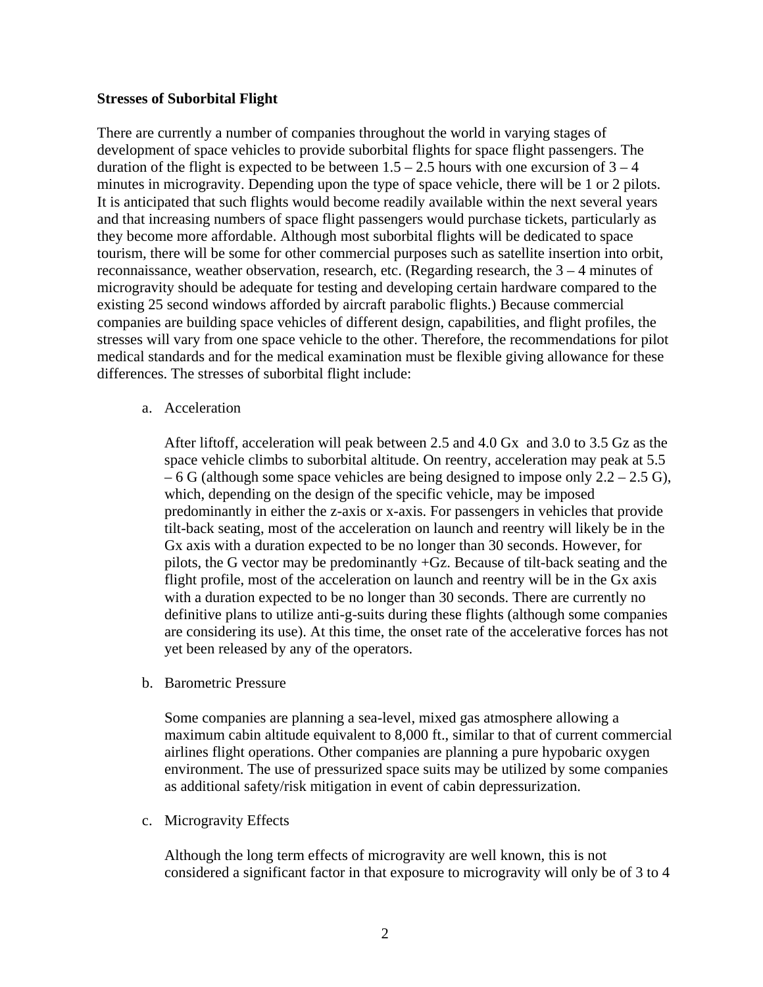### **Stresses of Suborbital Flight**

There are currently a number of companies throughout the world in varying stages of development of space vehicles to provide suborbital flights for space flight passengers. The duration of the flight is expected to be between  $1.5 - 2.5$  hours with one excursion of  $3 - 4$ minutes in microgravity. Depending upon the type of space vehicle, there will be 1 or 2 pilots. It is anticipated that such flights would become readily available within the next several years and that increasing numbers of space flight passengers would purchase tickets, particularly as they become more affordable. Although most suborbital flights will be dedicated to space tourism, there will be some for other commercial purposes such as satellite insertion into orbit, reconnaissance, weather observation, research, etc. (Regarding research, the  $3 - 4$  minutes of microgravity should be adequate for testing and developing certain hardware compared to the existing 25 second windows afforded by aircraft parabolic flights.) Because commercial companies are building space vehicles of different design, capabilities, and flight profiles, the stresses will vary from one space vehicle to the other. Therefore, the recommendations for pilot medical standards and for the medical examination must be flexible giving allowance for these differences. The stresses of suborbital flight include:

a. Acceleration

After liftoff, acceleration will peak between 2.5 and 4.0 Gx and 3.0 to 3.5 Gz as the space vehicle climbs to suborbital altitude. On reentry, acceleration may peak at 5.5  $-6$  G (although some space vehicles are being designed to impose only 2.2 – 2.5 G), which, depending on the design of the specific vehicle, may be imposed predominantly in either the z-axis or x-axis. For passengers in vehicles that provide tilt-back seating, most of the acceleration on launch and reentry will likely be in the Gx axis with a duration expected to be no longer than 30 seconds. However, for pilots, the G vector may be predominantly +Gz. Because of tilt-back seating and the flight profile, most of the acceleration on launch and reentry will be in the Gx axis with a duration expected to be no longer than 30 seconds. There are currently no definitive plans to utilize anti-g-suits during these flights (although some companies are considering its use). At this time, the onset rate of the accelerative forces has not yet been released by any of the operators.

b. Barometric Pressure

Some companies are planning a sea-level, mixed gas atmosphere allowing a maximum cabin altitude equivalent to 8,000 ft., similar to that of current commercial airlines flight operations. Other companies are planning a pure hypobaric oxygen environment. The use of pressurized space suits may be utilized by some companies as additional safety/risk mitigation in event of cabin depressurization.

c. Microgravity Effects

Although the long term effects of microgravity are well known, this is not considered a significant factor in that exposure to microgravity will only be of 3 to 4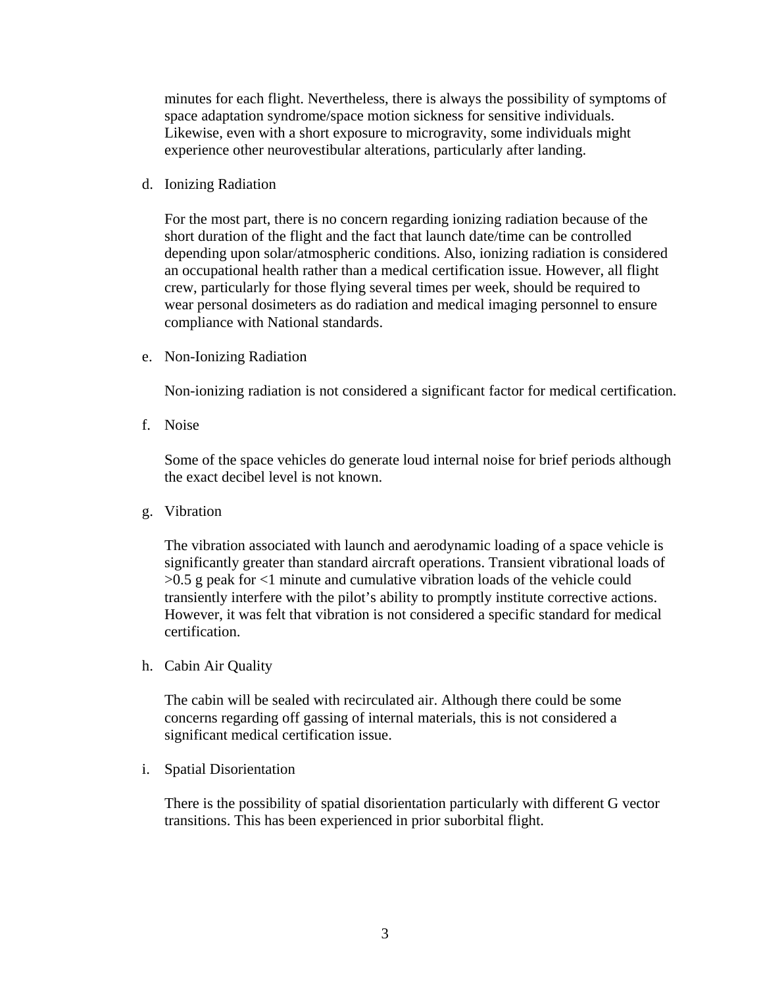minutes for each flight. Nevertheless, there is always the possibility of symptoms of space adaptation syndrome/space motion sickness for sensitive individuals. Likewise, even with a short exposure to microgravity, some individuals might experience other neurovestibular alterations, particularly after landing.

d. Ionizing Radiation

For the most part, there is no concern regarding ionizing radiation because of the short duration of the flight and the fact that launch date/time can be controlled depending upon solar/atmospheric conditions. Also, ionizing radiation is considered an occupational health rather than a medical certification issue. However, all flight crew, particularly for those flying several times per week, should be required to wear personal dosimeters as do radiation and medical imaging personnel to ensure compliance with National standards.

e. Non-Ionizing Radiation

Non-ionizing radiation is not considered a significant factor for medical certification.

f. Noise

Some of the space vehicles do generate loud internal noise for brief periods although the exact decibel level is not known.

g. Vibration

The vibration associated with launch and aerodynamic loading of a space vehicle is significantly greater than standard aircraft operations. Transient vibrational loads of >0.5 g peak for <1 minute and cumulative vibration loads of the vehicle could transiently interfere with the pilot's ability to promptly institute corrective actions. However, it was felt that vibration is not considered a specific standard for medical certification.

h. Cabin Air Quality

The cabin will be sealed with recirculated air. Although there could be some concerns regarding off gassing of internal materials, this is not considered a significant medical certification issue.

i. Spatial Disorientation

There is the possibility of spatial disorientation particularly with different G vector transitions. This has been experienced in prior suborbital flight.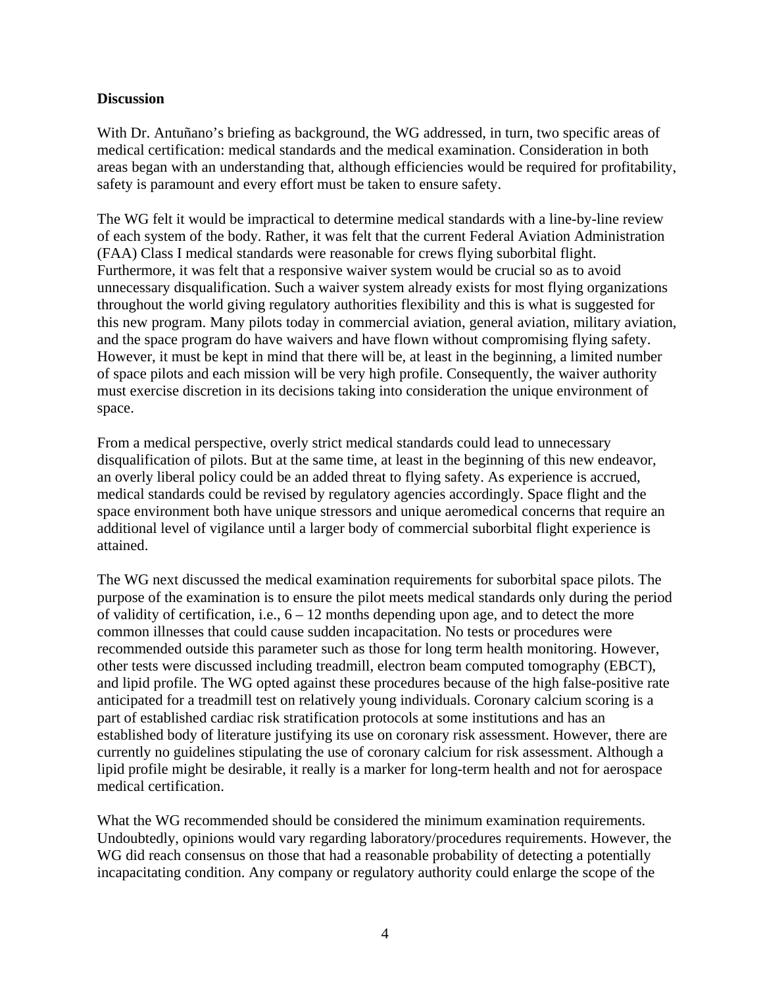## **Discussion**

With Dr. Antuñano's briefing as background, the WG addressed, in turn, two specific areas of medical certification: medical standards and the medical examination. Consideration in both areas began with an understanding that, although efficiencies would be required for profitability, safety is paramount and every effort must be taken to ensure safety.

The WG felt it would be impractical to determine medical standards with a line-by-line review of each system of the body. Rather, it was felt that the current Federal Aviation Administration (FAA) Class I medical standards were reasonable for crews flying suborbital flight. Furthermore, it was felt that a responsive waiver system would be crucial so as to avoid unnecessary disqualification. Such a waiver system already exists for most flying organizations throughout the world giving regulatory authorities flexibility and this is what is suggested for this new program. Many pilots today in commercial aviation, general aviation, military aviation, and the space program do have waivers and have flown without compromising flying safety. However, it must be kept in mind that there will be, at least in the beginning, a limited number of space pilots and each mission will be very high profile. Consequently, the waiver authority must exercise discretion in its decisions taking into consideration the unique environment of space.

From a medical perspective, overly strict medical standards could lead to unnecessary disqualification of pilots. But at the same time, at least in the beginning of this new endeavor, an overly liberal policy could be an added threat to flying safety. As experience is accrued, medical standards could be revised by regulatory agencies accordingly. Space flight and the space environment both have unique stressors and unique aeromedical concerns that require an additional level of vigilance until a larger body of commercial suborbital flight experience is attained.

The WG next discussed the medical examination requirements for suborbital space pilots. The purpose of the examination is to ensure the pilot meets medical standards only during the period of validity of certification, i.e.,  $6 - 12$  months depending upon age, and to detect the more common illnesses that could cause sudden incapacitation. No tests or procedures were recommended outside this parameter such as those for long term health monitoring. However, other tests were discussed including treadmill, electron beam computed tomography (EBCT), and lipid profile. The WG opted against these procedures because of the high false-positive rate anticipated for a treadmill test on relatively young individuals. Coronary calcium scoring is a part of established cardiac risk stratification protocols at some institutions and has an established body of literature justifying its use on coronary risk assessment. However, there are currently no guidelines stipulating the use of coronary calcium for risk assessment. Although a lipid profile might be desirable, it really is a marker for long-term health and not for aerospace medical certification.

What the WG recommended should be considered the minimum examination requirements. Undoubtedly, opinions would vary regarding laboratory/procedures requirements. However, the WG did reach consensus on those that had a reasonable probability of detecting a potentially incapacitating condition. Any company or regulatory authority could enlarge the scope of the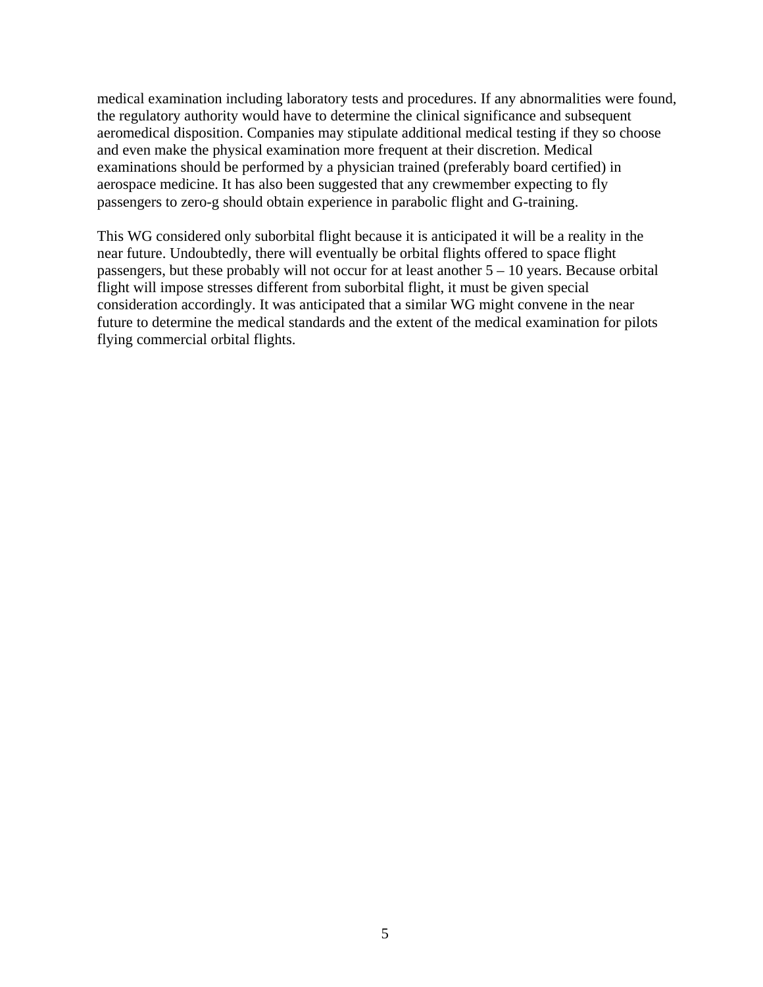medical examination including laboratory tests and procedures. If any abnormalities were found, the regulatory authority would have to determine the clinical significance and subsequent aeromedical disposition. Companies may stipulate additional medical testing if they so choose and even make the physical examination more frequent at their discretion. Medical examinations should be performed by a physician trained (preferably board certified) in aerospace medicine. It has also been suggested that any crewmember expecting to fly passengers to zero-g should obtain experience in parabolic flight and G-training.

This WG considered only suborbital flight because it is anticipated it will be a reality in the near future. Undoubtedly, there will eventually be orbital flights offered to space flight passengers, but these probably will not occur for at least another 5 – 10 years. Because orbital flight will impose stresses different from suborbital flight, it must be given special consideration accordingly. It was anticipated that a similar WG might convene in the near future to determine the medical standards and the extent of the medical examination for pilots flying commercial orbital flights.